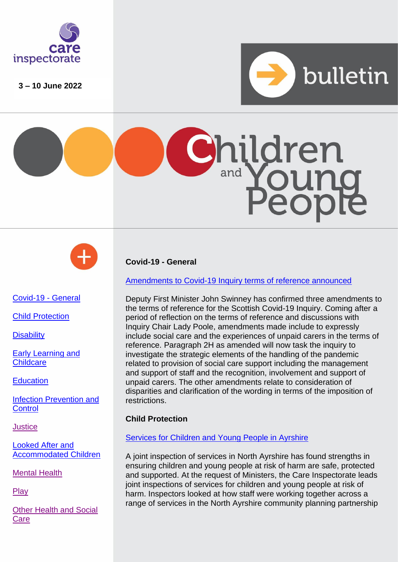

**3 – 10 June 2022**







# <span id="page-0-0"></span>[Covid-19 -](#page-0-0) General

Child Protection

**Disability** 

Early Learning and **Childcare** 

**Education** 

[Infection Prevention and](#page-3-0)  **[Control](#page-3-0)** 

**[Justice](#page-3-1)** 

[Looked After and](#page-3-2)  [Accommodated Children](#page-3-2)

[Mental Health](#page-4-0)

[Play](#page-5-0)

[Other Health and Social](#page-3-3)  **[Care](#page-3-3)** 

# **Covid-19 - General**

## [Amendments to Covid-19 Inquiry terms of reference announced](https://www.covid19inquiry.scot/news/additions-inquirys-terms-reference)

Deputy First Minister John Swinney has confirmed three amendments to the terms of reference for the Scottish Covid-19 Inquiry. Coming after a period of reflection on the terms of reference and discussions with Inquiry Chair Lady Poole, amendments made include to expressly include social care and the experiences of unpaid carers in the terms of reference. Paragraph 2H as amended will now task the inquiry to investigate the strategic elements of the handling of the pandemic related to provision of social care support including the management and support of staff and the recognition, involvement and support of unpaid carers. The other amendments relate to consideration of disparities and clarification of the wording in terms of the imposition of restrictions.

# **Child Protection**

# [Services for Children and Young People in Ayrshire](https://www.careinspectorate.com/index.php/news/6709-services-for-children-and-young-people-in-north-ayrshire)

A joint inspection of services in North Ayrshire has found strengths in ensuring children and young people at risk of harm are safe, protected and supported. At the request of Ministers, the Care Inspectorate leads joint inspections of services for children and young people at risk of harm. Inspectors looked at how staff were working together across a range of services in the North Ayrshire community planning partnership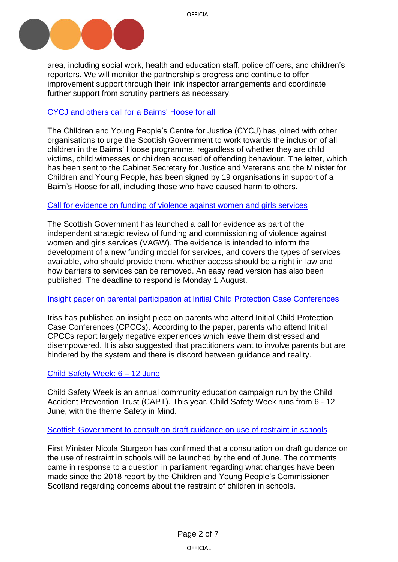

area, including social work, health and education staff, police officers, and children's reporters. We will monitor the partnership's progress and continue to offer improvement support through their link inspector arrangements and coordinate further support from scrutiny partners as necessary.

## [CYCJ and others call for](https://www.cycj.org.uk/news/bairns-hoose-for-all/) a Bairns' Hoose for all

The Children and Young People's Centre for Justice (CYCJ) has joined with other organisations to urge the Scottish Government to work towards the inclusion of all children in the Bairns' Hoose programme, regardless of whether they are child victims, child witnesses or children accused of offending behaviour. The letter, which has been sent to the Cabinet Secretary for Justice and Veterans and the Minister for Children and Young People, has been signed by 19 organisations in support of a Bairn's Hoose for all, including those who have caused harm to others.

### Call for evidence on funding [of violence against women and girls services](https://www.gov.scot/publications/independent-strategic-review-funding-commissioning-violence-against-women-girls-services-call-evidence/)

The Scottish Government has launched a call for evidence as part of the independent strategic review of funding and commissioning of violence against women and girls services (VAGW). The evidence is intended to inform the development of a new funding model for services, and covers the types of services available, who should provide them, whether access should be a right in law and how barriers to services can be removed. An easy read version has also been published. The deadline to respond is Monday 1 August.

#### Insight paper on parental [participation at Initial Child Protection Case Conferences](https://www.iriss.org.uk/resources/insights/parental-participation-initial-child-protection-case-conferences)

Iriss has published an insight piece on parents who attend Initial Child Protection Case Conferences (CPCCs). According to the paper, parents who attend Initial CPCCs report largely negative experiences which leave them distressed and disempowered. It is also suggested that practitioners want to involve parents but are hindered by the system and there is discord between guidance and reality.

### Child [Safety Week:](https://www.capt.org.uk/Pages/Category/child-safety-week) 6 – 12 June

Child Safety Week is an annual community education campaign run by the Child Accident Prevention Trust (CAPT). This year, Child Safety Week runs from 6 - 12 June, with the theme Safety in Mind.

### [Scottish Government to consult](https://archive2021.parliament.scot/parliamentarybusiness/report.aspx?r=13809&i=125219#ScotParlOR) on draft guidance on use of restraint in schools

First Minister Nicola Sturgeon has confirmed that a consultation on draft guidance on the use of restraint in schools will be launched by the end of June. The comments came in response to a question in parliament regarding what changes have been made since the 2018 report by the Children and Young People's Commissioner Scotland regarding concerns about the restraint of children in schools.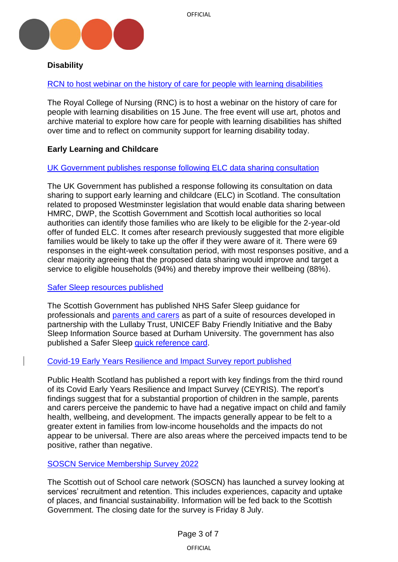

#### **Disability**

[RCN to host webinar on the history of care for people with learning disabilities](https://www.rcn.org.uk/news-and-events/events/lib-history-of-care-150622) 

The Royal College of Nursing (RNC) is to host a webinar on the history of care for people with learning disabilities on 15 June. The free event will use art, photos and archive material to explore how care for people with learning disabilities has shifted over time and to reflect on community support for learning disability today.

## **Early Learning and Childcare**

#### UK [Government publishes](https://www.gov.uk/government/consultations/digital-economy-act-2017-scottish-early-learning-and-childcare/outcome/government-response-to-the-consultation-on-data-sharing-to-support-early-learning-and-childcare-in-scotland) response following ELC data sharing consultation

The UK Government has published a response following its consultation on data sharing to support early learning and childcare (ELC) in Scotland. The consultation related to proposed Westminster legislation that would enable data sharing between HMRC, DWP, the Scottish Government and Scottish local authorities so local authorities can identify those families who are likely to be eligible for the 2-year-old offer of funded ELC. It comes after research previously suggested that more eligible families would be likely to take up the offer if they were aware of it. There were 69 responses in the eight-week consultation period, with most responses positive, and a clear majority agreeing that the proposed data sharing would improve and target a service to eligible households (94%) and thereby improve their wellbeing (88%).

#### Safer [Sleep resources published](https://www.gov.scot/publications/safer-sleep-babies-guide-professionals/)

The Scottish Government has published NHS Safer Sleep guidance for professionals and [parents and carers](https://www.gov.scot/publications/safer-sleep-babies-guide-parents-carers/) as part of a suite of resources developed in partnership with the Lullaby Trust, UNICEF Baby Friendly Initiative and the Baby Sleep Information Source based at Durham University. The government has also published a Safer Sleep [quick reference card.](https://www.gov.scot/publications/safer-sleep-babies-quick-reference-card/)

### [Covid-19 Early Years Resilience and Impact Survey report](https://publichealthscotland.scot/publications/covid-19-early-years-resilience-and-impact-survey-ceyris-report/are-the-kids-alright-key-messages-from-the-third-round-of-the-public-health-scotland-covid-19-early-years-resilience-and-impact-survey/) published

Public Health Scotland has published a report with key findings from the third round of its Covid Early Years Resilience and Impact Survey (CEYRIS). The report's findings suggest that for a substantial proportion of children in the sample, parents and carers perceive the pandemic to have had a negative impact on child and family health, wellbeing, and development. The impacts generally appear to be felt to a greater extent in families from low-income households and the impacts do not appear to be universal. There are also areas where the perceived impacts tend to be positive, rather than negative.

### [SOSCN Service Membership Survey 2022](https://soscn.org/news/news_266)

The Scottish out of School care network (SOSCN) has launched a survey looking at services' recruitment and retention. This includes experiences, capacity and uptake of places, and financial sustainability. Information will be fed back to the Scottish Government. The closing date for the survey is Friday 8 July.

> Page 3 of 7 OFFICIAL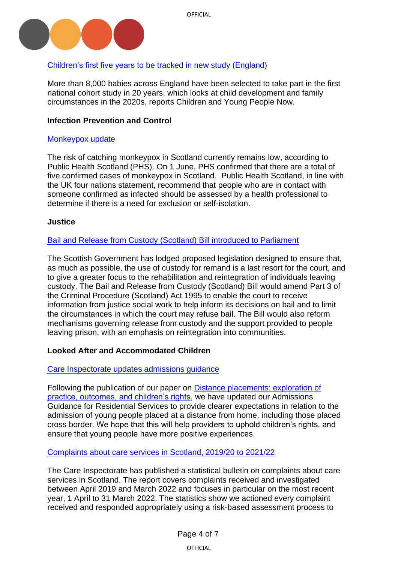

# [Children's first five years to be tracked in new study \(England\)](https://www.cypnow.co.uk/news/article/children-s-first-five-years-to-be-tracked-for-birth-cohort-study)

More than 8,000 babies across England have been selected to take part in the first national cohort study in 20 years, which looks at child development and family circumstances in the 2020s, reports Children and Young People Now.

## <span id="page-3-0"></span>**Infection Prevention and Control**

#### [Monkeypox update](https://publichealthscotland.scot/news/2022/june/update-on-monkeypox-in-scotland/?utm_medium=email&utm_source=govdelivery)

The risk of catching monkeypox in Scotland currently remains low, according to Public Health Scotland (PHS). On 1 June, PHS confirmed that there are a total of five confirmed cases of monkeypox in Scotland. Public Health Scotland, in line with the UK four nations statement, recommend that people who are in contact with someone confirmed as infected should be assessed by a health professional to determine if there is a need for exclusion or self-isolation.

### <span id="page-3-1"></span>**Justice**

### [Bail and Release from Custody \(Scotland\) Bill introduced to Parliament](https://www.parliament.scot/bills-and-laws/bills/bail-and-release-from-custody-scotland-bill/introduced)

The Scottish Government has lodged proposed legislation designed to ensure that, as much as possible, the use of custody for remand is a last resort for the court, and to give a greater focus to the rehabilitation and reintegration of individuals leaving custody. The Bail and Release from Custody (Scotland) Bill would amend Part 3 of the Criminal Procedure (Scotland) Act 1995 to enable the court to receive information from justice social work to help inform its decisions on bail and to limit the circumstances in which the court may refuse bail. The Bill would also reform mechanisms governing release from custody and the support provided to people leaving prison, with an emphasis on reintegration into communities.

### <span id="page-3-3"></span><span id="page-3-2"></span>**Looked After and Accommodated Children**

### [Care Inspectorate updates](https://www.careinspectorate.com/images/Admissions_Guidance_for_Residential_Services.pdf?utm_medium=email&utm_source=govdelivery) admissions guidance

Following the publication of our paper on [Distance placements: exploration of](https://gbr01.safelinks.protection.outlook.com/?url=https%3A%2F%2Flnks.gd%2Fl%2FeyJhbGciOiJIUzI1NiJ9.eyJidWxsZXRpbl9saW5rX2lkIjoxMDEsInVyaSI6ImJwMjpjbGljayIsImJ1bGxldGluX2lkIjoiMjAyMjA2MDcuNTkwMTQwNTEiLCJ1cmwiOiJodHRwczovL3d3dy5jYXJlaW5zcGVjdG9yYXRlLmNvbS9pbWFnZXMvZG9jdW1lbnRzLzY2NzAvRGlzdGFuY2UlMjBwbGFjZW1lbnRzJTIwZXhwbG9yYXRpb24lMjByZXBvcnQlMjAyMDIyLnBkZj91dG1fbWVkaXVtPWVtYWlsJnV0bV9zb3VyY2U9Z292ZGVsaXZlcnkifQ.od_HedH6T_tEV1ZDloYQJf5WwBZl_aGsW6G-PlfZZ5g%2Fs%2F2163709847%2Fbr%2F132533456326-l&data=05%7C01%7C%7C874470a6f263413130ac08da489539ed%7Cdb475863b0d947e2b73f89c00d851e74%7C0%7C1%7C637902103001526056%7CUnknown%7CTWFpbGZsb3d8eyJWIjoiMC4wLjAwMDAiLCJQIjoiV2luMzIiLCJBTiI6Ik1haWwiLCJXVCI6Mn0%3D%7C3000%7C%7C%7C&sdata=W8qkT9fsr1Zbq3GjvybLenMLXtqTCAwOiyX6CiWqjrA%3D&reserved=0)  [practice, outcomes, and children's rights,](https://gbr01.safelinks.protection.outlook.com/?url=https%3A%2F%2Flnks.gd%2Fl%2FeyJhbGciOiJIUzI1NiJ9.eyJidWxsZXRpbl9saW5rX2lkIjoxMDEsInVyaSI6ImJwMjpjbGljayIsImJ1bGxldGluX2lkIjoiMjAyMjA2MDcuNTkwMTQwNTEiLCJ1cmwiOiJodHRwczovL3d3dy5jYXJlaW5zcGVjdG9yYXRlLmNvbS9pbWFnZXMvZG9jdW1lbnRzLzY2NzAvRGlzdGFuY2UlMjBwbGFjZW1lbnRzJTIwZXhwbG9yYXRpb24lMjByZXBvcnQlMjAyMDIyLnBkZj91dG1fbWVkaXVtPWVtYWlsJnV0bV9zb3VyY2U9Z292ZGVsaXZlcnkifQ.od_HedH6T_tEV1ZDloYQJf5WwBZl_aGsW6G-PlfZZ5g%2Fs%2F2163709847%2Fbr%2F132533456326-l&data=05%7C01%7C%7C874470a6f263413130ac08da489539ed%7Cdb475863b0d947e2b73f89c00d851e74%7C0%7C1%7C637902103001526056%7CUnknown%7CTWFpbGZsb3d8eyJWIjoiMC4wLjAwMDAiLCJQIjoiV2luMzIiLCJBTiI6Ik1haWwiLCJXVCI6Mn0%3D%7C3000%7C%7C%7C&sdata=W8qkT9fsr1Zbq3GjvybLenMLXtqTCAwOiyX6CiWqjrA%3D&reserved=0) we have updated our Admissions Guidance for Residential Services to provide clearer expectations in relation to the admission of young people placed at a distance from home, including those placed cross border. We hope that this will help providers to uphold children's rights, and ensure that young people have more positive experiences.

[Complaints about care services in Scotland, 2019/20 to 2021/22](https://www.careinspectorate.com/index.php/news/6712-complaints-about-care-services-in-scotland-2019-20-to-2021-22)

The Care Inspectorate has published a statistical bulletin on complaints about care services in Scotland. The report covers complaints received and investigated between April 2019 and March 2022 and focuses in particular on the most recent year, 1 April to 31 March 2022. The statistics show we actioned every complaint received and responded appropriately using a risk-based assessment process to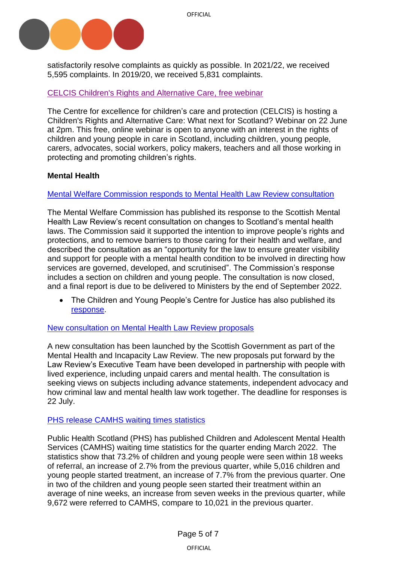

satisfactorily resolve complaints as quickly as possible. In 2021/22, we received 5,595 complaints. In 2019/20, we received 5,831 complaints.

### [CELCIS Children's Rights and Alternative Care,](https://www.eventbrite.co.uk/e/childrens-rights-and-alternative-care-what-next-for-scotland-tickets-347905383367) free webinar

The Centre for excellence for children's care and protection (CELCIS) is hosting a Children's Rights and Alternative Care: What next for Scotland? Webinar on 22 June at 2pm. This free, online webinar is open to anyone with an interest in the rights of children and young people in care in Scotland, including children, young people, carers, advocates, social workers, policy makers, teachers and all those working in protecting and promoting children's rights.

#### <span id="page-4-0"></span>**Mental Health**

#### [Mental Welfare Commission responds to Mental](https://www.mwcscot.org.uk/news/scotlands-mental-health-law-review-mental-welfare-commission-response) Health Law Review consultation

The Mental Welfare Commission has published its response to the Scottish Mental Health Law Review's recent consultation on changes to Scotland's mental health laws. The Commission said it supported the intention to improve people's rights and protections, and to remove barriers to those caring for their health and welfare, and described the consultation as an "opportunity for the law to ensure greater visibility and support for people with a mental health condition to be involved in directing how services are governed, developed, and scrutinised". The Commission's response includes a section on children and young people. The consultation is now closed, and a final report is due to be delivered to Ministers by the end of September 2022.

• The Children and Young People's Centre for Justice has also published its [response.](https://www.cycj.org.uk/resource/cycjs-response-to-the-scottish-mental-health-law-review-consultation/)

#### [New consultation on Mental Health Law Review proposals](https://consult.gov.scot/mental-health-law-secretariat/forensic-proposals/)

A new consultation has been launched by the Scottish Government as part of the Mental Health and Incapacity Law Review. The new proposals put forward by the Law Review's Executive Team have been developed in partnership with people with lived experience, including unpaid carers and mental health. The consultation is seeking views on subjects including advance statements, independent advocacy and how criminal law and mental health law work together. The deadline for responses is 22 July.

#### [PHS release CAMHS waiting](https://publichealthscotland.scot/publications/child-and-adolescent-mental-health-services-camhs-waiting-times/child-and-adolescent-mental-health-services-camhs-waiting-times-quarter-ending-march-2022/) times statistics

Public Health Scotland (PHS) has published Children and Adolescent Mental Health Services (CAMHS) waiting time statistics for the quarter ending March 2022. The statistics show that 73.2% of children and young people were seen within 18 weeks of referral, an increase of 2.7% from the previous quarter, while 5,016 children and young people started treatment, an increase of 7.7% from the previous quarter. One in two of the children and young people seen started their treatment within an average of nine weeks, an increase from seven weeks in the previous quarter, while 9,672 were referred to CAMHS, compare to 10,021 in the previous quarter.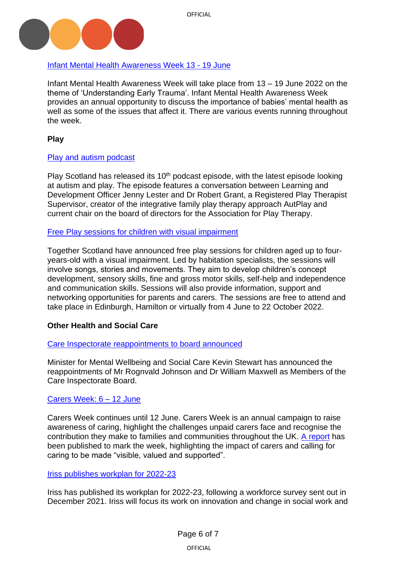

## [Infant Mental Health Awareness Week 13](https://parentinfantfoundation.org.uk/our-work/imhaw/) - 19 June

Infant Mental Health Awareness Week will take place from 13 – 19 June 2022 on the theme of 'Understanding Early Trauma'. Infant Mental Health Awareness Week provides an annual opportunity to discuss the importance of babies' mental health as well as some of the issues that affect it. There are various events running throughout the week.

<span id="page-5-0"></span>**Play**

### [Play and autism podcast](https://www.playscotland.org/new-podcast-play-austism/)

Play Scotland has released its  $10<sup>th</sup>$  podcast episode, with the latest episode looking at autism and play. The episode features a conversation between Learning and Development Officer Jenny Lester and Dr Robert Grant, a Registered Play Therapist Supervisor, creator of the integrative family play therapy approach AutPlay and current chair on the board of directors for the Association for Play Therapy.

### [Free Play sessions for children with visual impairment](https://www.togetherscotland.org.uk/news-and-events/events/free-play-sessions-for-children-aged-0-4-with-a-visual-impairment/)

Together Scotland have announced free play sessions for children aged up to fouryears-old with a visual impairment. Led by habitation specialists, the sessions will involve songs, stories and movements. They aim to develop children's concept development, sensory skills, fine and gross motor skills, self-help and independence and communication skills. Sessions will also provide information, support and networking opportunities for parents and carers. The sessions are free to attend and take place in Edinburgh, Hamilton or virtually from 4 June to 22 October 2022.

### **Other Health and Social Care**

### [Care Inspectorate reappointments to](https://www.gov.scot/publications/public-appointment-members-reappointed-to-the-care-inspectorate-board-2/) board announced

Minister for Mental Wellbeing and Social Care Kevin Stewart has announced the reappointments of Mr Rognvald Johnson and Dr William Maxwell as Members of the Care Inspectorate Board.

### [Carers Week:](https://www.carersweek.org/) 6 – 12 June

Carers Week continues until 12 June. Carers Week is an annual campaign to raise awareness of caring, highlight the challenges unpaid carers face and recognise the contribution they make to families and communities throughout the UK. [A report](https://www.carersweek.org/about-carers-week/latest-news/posts-folder/2022/june/make-caring-visible-valued-and-supported-carers-week-2022-report/) has been published to mark the week, highlighting the impact of carers and calling for caring to be made "visible, valued and supported".

### [Iriss publishes workplan for 2022-23](https://www.iriss.org.uk/news/news/2022/06/01/our-plans-2022-23)

Iriss has published its workplan for 2022-23, following a workforce survey sent out in December 2021. Iriss will focus its work on innovation and change in social work and